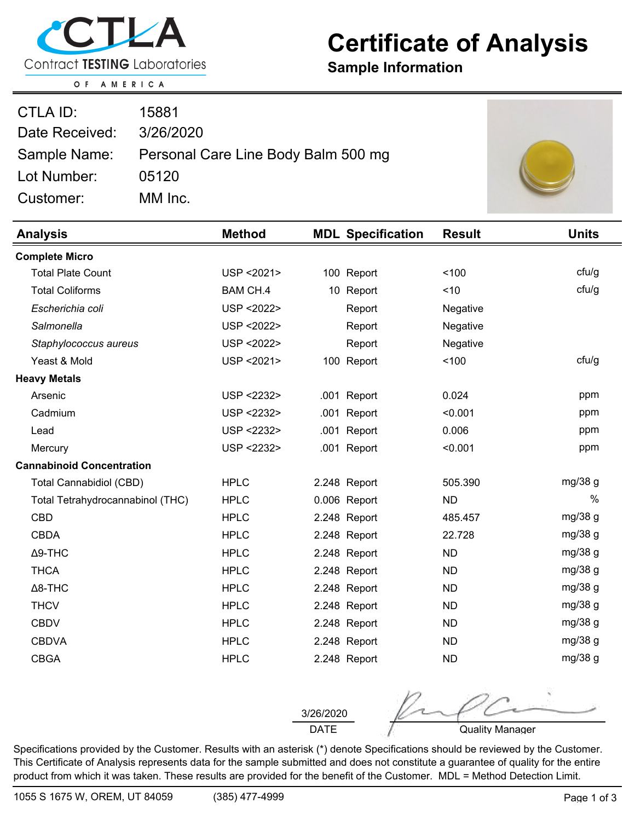

## **Certificate of Analysis**

**Sample Information**

OF AMERICA

| CTLA ID:       | 15881                                            |  |
|----------------|--------------------------------------------------|--|
| Date Received: | 3/26/2020                                        |  |
|                | Sample Name: Personal Care Line Body Balm 500 mg |  |
| Lot Number:    | 05120                                            |  |
| Customer:      | MM Inc.                                          |  |

| <b>Analysis</b>                  | <b>Method</b>   | <b>MDL Specification</b> | <b>Result</b> | <b>Units</b>  |
|----------------------------------|-----------------|--------------------------|---------------|---------------|
| <b>Complete Micro</b>            |                 |                          |               |               |
| <b>Total Plate Count</b>         | USP < 2021>     | 100 Report               | 100           | ctu/g         |
| <b>Total Coliforms</b>           | <b>BAM CH.4</b> | 10 Report                | $<$ 10        | cfu/g         |
| Escherichia coli                 | USP < 2022>     | Report                   | Negative      |               |
| Salmonella                       | USP < 2022>     | Report                   | Negative      |               |
| Staphylococcus aureus            | USP < 2022>     | Report                   | Negative      |               |
| Yeast & Mold                     | USP < 2021>     | 100 Report               | 100           | ctu/g         |
| <b>Heavy Metals</b>              |                 |                          |               |               |
| Arsenic                          | USP <2232>      | .001 Report              | 0.024         | ppm           |
| Cadmium                          | USP <2232>      | .001<br>Report           | < 0.001       | ppm           |
| Lead                             | USP <2232>      | .001 Report              | 0.006         | ppm           |
| Mercury                          | USP <2232>      | .001 Report              | < 0.001       | ppm           |
| <b>Cannabinoid Concentration</b> |                 |                          |               |               |
| <b>Total Cannabidiol (CBD)</b>   | <b>HPLC</b>     | 2.248 Report             | 505.390       | mg/38 g       |
| Total Tetrahydrocannabinol (THC) | <b>HPLC</b>     | 0.006 Report             | <b>ND</b>     | $\frac{0}{0}$ |
| <b>CBD</b>                       | <b>HPLC</b>     | 2.248 Report             | 485.457       | mg/38 g       |
| <b>CBDA</b>                      | <b>HPLC</b>     | 2.248 Report             | 22.728        | mg/38 g       |
| $\Delta$ 9-THC                   | <b>HPLC</b>     | 2.248 Report             | <b>ND</b>     | mg/38 g       |
| <b>THCA</b>                      | <b>HPLC</b>     | 2.248 Report             | <b>ND</b>     | mg/38 g       |
| $\Delta$ 8-THC                   | <b>HPLC</b>     | 2.248 Report             | <b>ND</b>     | mg/38 g       |
| <b>THCV</b>                      | <b>HPLC</b>     | 2.248 Report             | <b>ND</b>     | mg/38 g       |
| <b>CBDV</b>                      | <b>HPLC</b>     | 2.248 Report             | <b>ND</b>     | mg/38 g       |
| <b>CBDVA</b>                     | <b>HPLC</b>     | 2.248 Report             | <b>ND</b>     | mg/38 g       |
| <b>CBGA</b>                      | <b>HPLC</b>     | 2.248 Report             | <b>ND</b>     | mg/38 g       |

DATE 3/26/2020

Quality Manager

Specifications provided by the Customer. Results with an asterisk (\*) denote Specifications should be reviewed by the Customer. This Certificate of Analysis represents data for the sample submitted and does not constitute a guarantee of quality for the entire product from which it was taken. These results are provided for the benefit of the Customer. MDL = Method Detection Limit.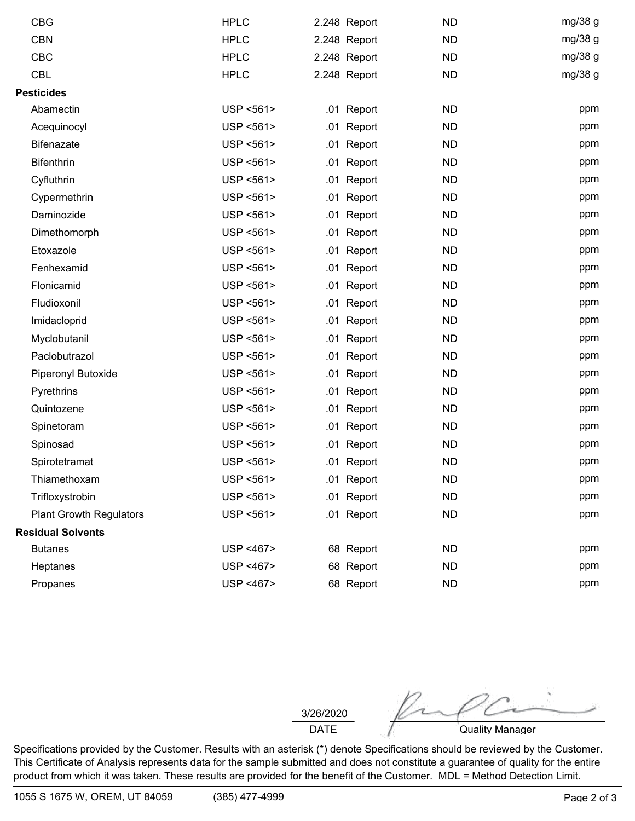| <b>CBG</b>                     | <b>HPLC</b>            | 2.248 Report | <b>ND</b> | mg/38 g |
|--------------------------------|------------------------|--------------|-----------|---------|
| <b>CBN</b>                     | <b>HPLC</b>            | 2.248 Report | <b>ND</b> | mg/38 g |
| <b>CBC</b>                     | <b>HPLC</b>            | 2.248 Report | <b>ND</b> | mg/38 g |
| <b>CBL</b>                     | <b>HPLC</b>            | 2.248 Report | <b>ND</b> | mg/38 g |
| <b>Pesticides</b>              |                        |              |           |         |
| Abamectin                      | USP <561>              | .01 Report   | <b>ND</b> | ppm     |
| Acequinocyl                    | USP <561>              | .01 Report   | <b>ND</b> | ppm     |
| <b>Bifenazate</b>              | USP <561>              | .01 Report   | <b>ND</b> | ppm     |
| <b>Bifenthrin</b>              | USP <561>              | .01 Report   | <b>ND</b> | ppm     |
| Cyfluthrin                     | USP <561>              | .01 Report   | <b>ND</b> | ppm     |
| Cypermethrin                   | USP <561>              | .01 Report   | <b>ND</b> | ppm     |
| Daminozide                     | USP <561>              | .01 Report   | <b>ND</b> | ppm     |
| Dimethomorph                   | USP <561>              | .01 Report   | <b>ND</b> | ppm     |
| Etoxazole                      | USP <561>              | .01 Report   | <b>ND</b> | ppm     |
| Fenhexamid                     | USP <561>              | .01 Report   | <b>ND</b> | ppm     |
| Flonicamid                     | USP <561>              | .01 Report   | <b>ND</b> | ppm     |
| Fludioxonil                    | USP <561>              | .01 Report   | <b>ND</b> | ppm     |
| Imidacloprid                   | USP <561>              | .01 Report   | <b>ND</b> | ppm     |
| Myclobutanil                   | USP <561>              | .01 Report   | <b>ND</b> | ppm     |
| Paclobutrazol                  | USP <561>              | .01 Report   | <b>ND</b> | ppm     |
| Piperonyl Butoxide             | USP <561>              | .01 Report   | <b>ND</b> | ppm     |
| Pyrethrins                     | USP <561>              | .01 Report   | <b>ND</b> | ppm     |
| Quintozene                     | USP <561>              | .01 Report   | <b>ND</b> | ppm     |
| Spinetoram                     | USP <561>              | .01 Report   | <b>ND</b> | ppm     |
| Spinosad                       | USP <561>              | .01 Report   | <b>ND</b> | ppm     |
| Spirotetramat                  | USP <561>              | .01 Report   | <b>ND</b> | ppm     |
| Thiamethoxam                   | USP <561>              | .01 Report   | <b>ND</b> | ppm     |
| Trifloxystrobin                | USP <561>              | .01 Report   | <b>ND</b> | ppm     |
| <b>Plant Growth Regulators</b> | USP <561>              | .01 Report   | <b>ND</b> | ppm     |
| <b>Residual Solvents</b>       |                        |              |           |         |
| <b>Butanes</b>                 | USP <467>              | 68 Report    | <b>ND</b> | ppm     |
| Heptanes                       | <b>USP &lt;467&gt;</b> | 68 Report    | <b>ND</b> | ppm     |
| Propanes                       | USP <467>              | 68 Report    | <b>ND</b> | ppm     |

DATE 3/26/2020

Quality Manager

Specifications provided by the Customer. Results with an asterisk (\*) denote Specifications should be reviewed by the Customer. This Certificate of Analysis represents data for the sample submitted and does not constitute a guarantee of quality for the entire product from which it was taken. These results are provided for the benefit of the Customer. MDL = Method Detection Limit.